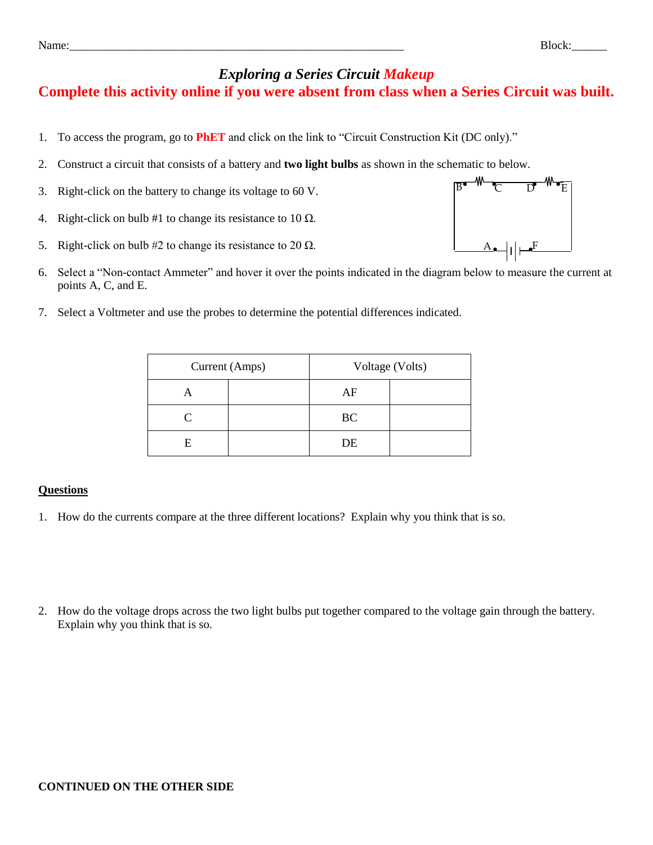## *Exploring a Series Circuit Makeup*

## **Complete this activity online if you were absent from class when a Series Circuit was built.**

- 1. To access the program, go to **PhET** and click on the link to "Circuit Construction Kit (DC only)."
- 2. Construct a circuit that consists of a battery and **two light bulbs** as shown in the schematic to below.
- 3. Right-click on the battery to change its voltage to 60 V.
- 4. Right-click on bulb #1 to change its resistance to 10  $\Omega$ .
- 5. Right-click on bulb #2 to change its resistance to 20  $\Omega$ .
- 6. Select a "Non-contact Ammeter" and hover it over the points indicated in the diagram below to measure the current at points A, C, and E.
- 7. Select a Voltmeter and use the probes to determine the potential differences indicated.

| Current (Amps) |  | Voltage (Volts) |  |
|----------------|--|-----------------|--|
|                |  | AF              |  |
| L.             |  | BC              |  |
|                |  | DE              |  |

## **Questions**

- 1. How do the currents compare at the three different locations? Explain why you think that is so.
- 2. How do the voltage drops across the two light bulbs put together compared to the voltage gain through the battery. Explain why you think that is so.